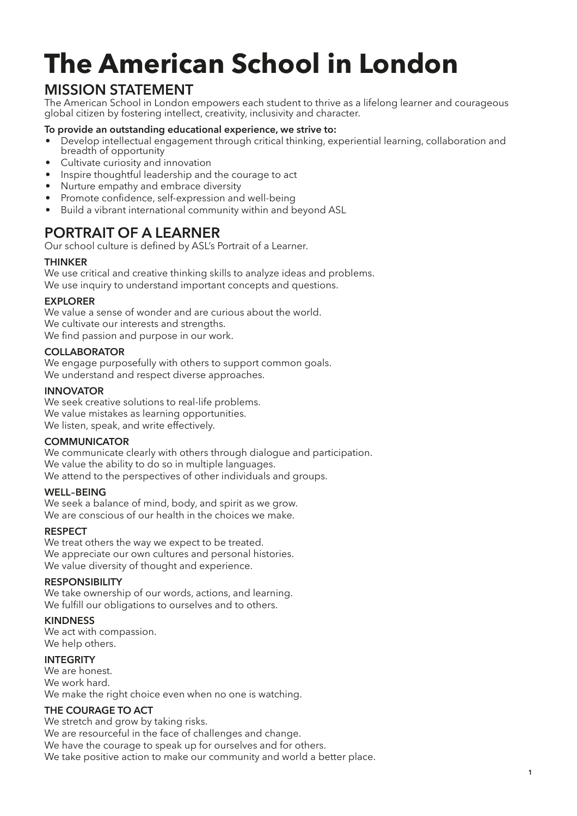# The American School in London

### MISSION STATEMENT

The American School in London empowers each student to thrive as a lifelong learner and courageous global citizen by fostering intellect, creativity, inclusivity and character.

#### To provide an outstanding educational experience, we strive to:

- Develop intellectual engagement through critical thinking, experiential learning, collaboration and breadth of opportunity
- Cultivate curiosity and innovation
- Inspire thoughtful leadership and the courage to act
- Nurture empathy and embrace diversity
- Promote confidence, self-expression and well-being
- Build a vibrant international community within and beyond ASL

### PORTRAIT OF A LEARNER

Our school culture is defned by ASL's Portrait of a Learner.

#### **THINKER**

We use critical and creative thinking skills to analyze ideas and problems. We use inquiry to understand important concepts and questions.

#### **EXPLORER**

We value a sense of wonder and are curious about the world. We cultivate our interests and strengths. We find passion and purpose in our work.

#### COLLABORATOR

We engage purposefully with others to support common goals. We understand and respect diverse approaches.

#### INNOVATOR

We seek creative solutions to real-life problems. We value mistakes as learning opportunities. We listen, speak, and write effectively.

#### **COMMUNICATOR**

We communicate clearly with others through dialogue and participation. We value the ability to do so in multiple languages. We attend to the perspectives of other individuals and groups.

#### WELL–BEING

We seek a balance of mind, body, and spirit as we grow. We are conscious of our health in the choices we make.

#### **RESPECT**

We treat others the way we expect to be treated. We appreciate our own cultures and personal histories. We value diversity of thought and experience.

#### RESPONSIBILITY

We take ownership of our words, actions, and learning. We fulfill our obligations to ourselves and to others.

#### KINDNESS

We act with compassion. We help others.

#### **INTEGRITY**

We are honest We work hard. We make the right choice even when no one is watching.

#### THE COURAGE TO ACT

We stretch and grow by taking risks. We are resourceful in the face of challenges and change. We have the courage to speak up for ourselves and for others. We take positive action to make our community and world a better place.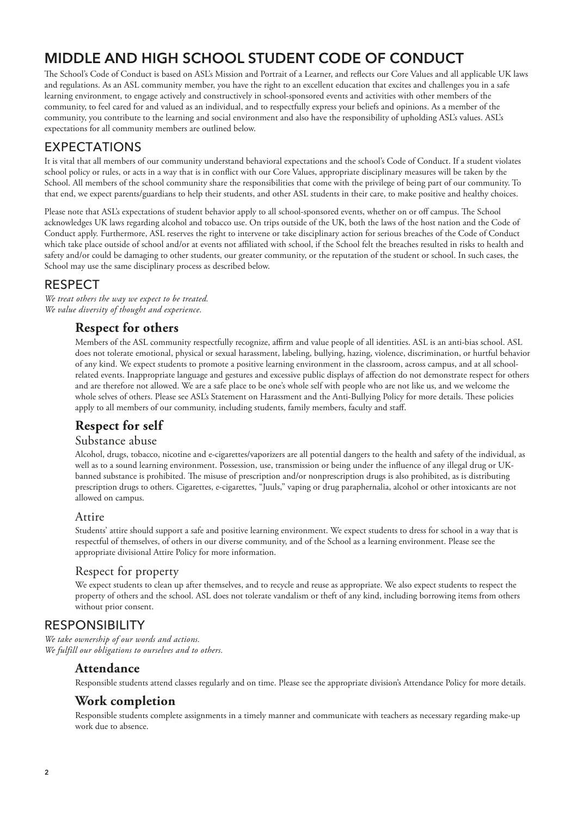### MIDDLE AND HIGH SCHOOL STUDENT CODE OF CONDUCT

The School's Code of Conduct is based on ASL's Mission and Portrait of a Learner, and reflects our Core Values and all applicable UK laws and regulations. As an ASL community member, you have the right to an excellent education that excites and challenges you in a safe learning environment, to engage actively and constructively in school-sponsored events and activities with other members of the community, to feel cared for and valued as an individual, and to respectfully express your beliefs and opinions. As a member of the community, you contribute to the learning and social environment and also have the responsibility of upholding ASL's values. ASL's expectations for all community members are outlined below.

### EXPECTATIONS

It is vital that all members of our community understand behavioral expectations and the school's Code of Conduct. If a student violates school policy or rules, or acts in a way that is in confict with our Core Values, appropriate disciplinary measures will be taken by the School. All members of the school community share the responsibilities that come with the privilege of being part of our community. To that end, we expect parents/guardians to help their students, and other ASL students in their care, to make positive and healthy choices.

Please note that ASL's expectations of student behavior apply to all school-sponsored events, whether on or off campus. The School acknowledges UK laws regarding alcohol and tobacco use. On trips outside of the UK, both the laws of the host nation and the Code of Conduct apply. Furthermore, ASL reserves the right to intervene or take disciplinary action for serious breaches of the Code of Conduct which take place outside of school and/or at events not afliated with school, if the School felt the breaches resulted in risks to health and safety and/or could be damaging to other students, our greater community, or the reputation of the student or school. In such cases, the School may use the same disciplinary process as described below.

#### RESPECT

*We treat others the way we expect to be treated. We value diversity of thought and experience.*

### **Respect for others**

Members of the ASL community respectfully recognize, affirm and value people of all identities. ASL is an anti-bias school. ASL does not tolerate emotional, physical or sexual harassment, labeling, bullying, hazing, violence, discrimination, or hurtful behavior of any kind. We expect students to promote a positive learning environment in the classroom, across campus, and at all schoolrelated events. Inappropriate language and gestures and excessive public displays of afection do not demonstrate respect for others and are therefore not allowed. We are a safe place to be one's whole self with people who are not like us, and we welcome the whole selves of others. Please see ASL's Statement on Harassment and the Anti-Bullying Policy for more details. These policies apply to all members of our community, including students, family members, faculty and staf.

### **Respect for self**

#### Substance abuse

Alcohol, drugs, tobacco, nicotine and e-cigarettes/vaporizers are all potential dangers to the health and safety of the individual, as well as to a sound learning environment. Possession, use, transmission or being under the infuence of any illegal drug or UKbanned substance is prohibited. The misuse of prescription and/or nonprescription drugs is also prohibited, as is distributing prescription drugs to others. Cigarettes, e-cigarettes, "Juuls," vaping or drug paraphernalia, alcohol or other intoxicants are not allowed on campus.

#### Attire

Students' attire should support a safe and positive learning environment. We expect students to dress for school in a way that is respectful of themselves, of others in our diverse community, and of the School as a learning environment. Please see the appropriate divisional Attire Policy for more information.

#### Respect for property

We expect students to clean up after themselves, and to recycle and reuse as appropriate. We also expect students to respect the property of others and the school. ASL does not tolerate vandalism or theft of any kind, including borrowing items from others without prior consent.

#### RESPONSIBILITY

*We take ownership of our words and actions. We fulfill our obligations to ourselves and to others.*

#### **Attendance**

Responsible students attend classes regularly and on time. Please see the appropriate division's Attendance Policy for more details.

#### **Work completion**

Responsible students complete assignments in a timely manner and communicate with teachers as necessary regarding make-up work due to absence.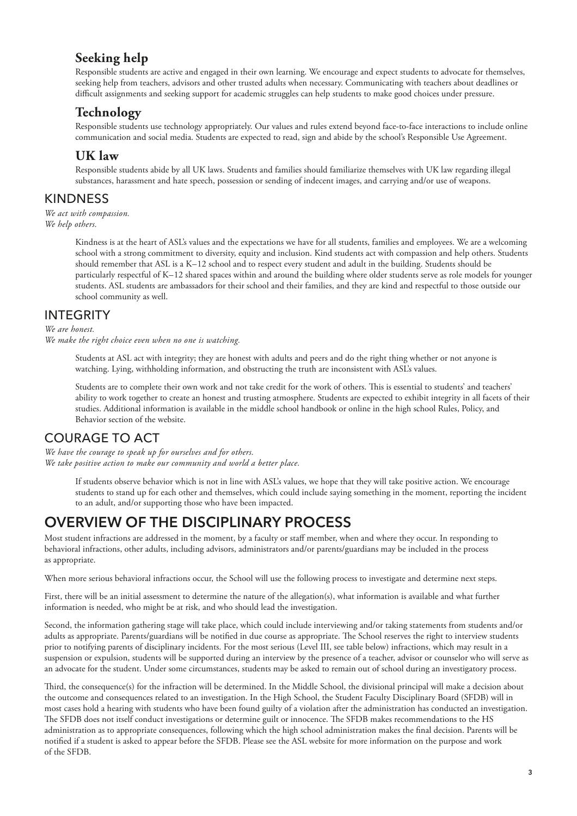### **Seeking help**

Responsible students are active and engaged in their own learning. We encourage and expect students to advocate for themselves, seeking help from teachers, advisors and other trusted adults when necessary. Communicating with teachers about deadlines or difcult assignments and seeking support for academic struggles can help students to make good choices under pressure.

### **Technology**

Responsible students use technology appropriately. Our values and rules extend beyond face-to-face interactions to include online communication and social media. Students are expected to read, sign and abide by the school's Responsible Use Agreement.

#### **UK law**

Responsible students abide by all UK laws. Students and families should familiarize themselves with UK law regarding illegal substances, harassment and hate speech, possession or sending of indecent images, and carrying and/or use of weapons.

#### KINDNESS

*We act with compassion. We help others.*

> Kindness is at the heart of ASL's values and the expectations we have for all students, families and employees. We are a welcoming school with a strong commitment to diversity, equity and inclusion. Kind students act with compassion and help others. Students should remember that ASL is a K–12 school and to respect every student and adult in the building. Students should be particularly respectful of K–12 shared spaces within and around the building where older students serve as role models for younger students. ASL students are ambassadors for their school and their families, and they are kind and respectful to those outside our school community as well.

#### INTEGRITY

*We are honest. We make the right choice even when no one is watching.*

> Students at ASL act with integrity; they are honest with adults and peers and do the right thing whether or not anyone is watching. Lying, withholding information, and obstructing the truth are inconsistent with ASL's values.

Students are to complete their own work and not take credit for the work of others. Tis is essential to students' and teachers' ability to work together to create an honest and trusting atmosphere. Students are expected to exhibit integrity in all facets of their studies. Additional information is available in the middle school handbook or online in the high school Rules, Policy, and Behavior section of the website.

### COURAGE TO ACT

*We have the courage to speak up for ourselves and for others. We take positive action to make our community and world a better place.*

> If students observe behavior which is not in line with ASL's values, we hope that they will take positive action. We encourage students to stand up for each other and themselves, which could include saying something in the moment, reporting the incident to an adult, and/or supporting those who have been impacted.

### OVERVIEW OF THE DISCIPLINARY PROCESS

Most student infractions are addressed in the moment, by a faculty or staf member, when and where they occur. In responding to behavioral infractions, other adults, including advisors, administrators and/or parents/guardians may be included in the process as appropriate.

When more serious behavioral infractions occur, the School will use the following process to investigate and determine next steps.

First, there will be an initial assessment to determine the nature of the allegation(s), what information is available and what further information is needed, who might be at risk, and who should lead the investigation.

Second, the information gathering stage will take place, which could include interviewing and/or taking statements from students and/or adults as appropriate. Parents/guardians will be notified in due course as appropriate. The School reserves the right to interview students prior to notifying parents of disciplinary incidents. For the most serious (Level III, see table below) infractions, which may result in a suspension or expulsion, students will be supported during an interview by the presence of a teacher, advisor or counselor who will serve as an advocate for the student. Under some circumstances, students may be asked to remain out of school during an investigatory process.

Tird, the consequence(s) for the infraction will be determined. In the Middle School, the divisional principal will make a decision about the outcome and consequences related to an investigation. In the High School, the Student Faculty Disciplinary Board (SFDB) will in most cases hold a hearing with students who have been found guilty of a violation after the administration has conducted an investigation. The SFDB does not itself conduct investigations or determine guilt or innocence. The SFDB makes recommendations to the HS administration as to appropriate consequences, following which the high school administration makes the fnal decision. Parents will be notifed if a student is asked to appear before the SFDB. Please see the ASL website for more information on the purpose and work of the SFDB.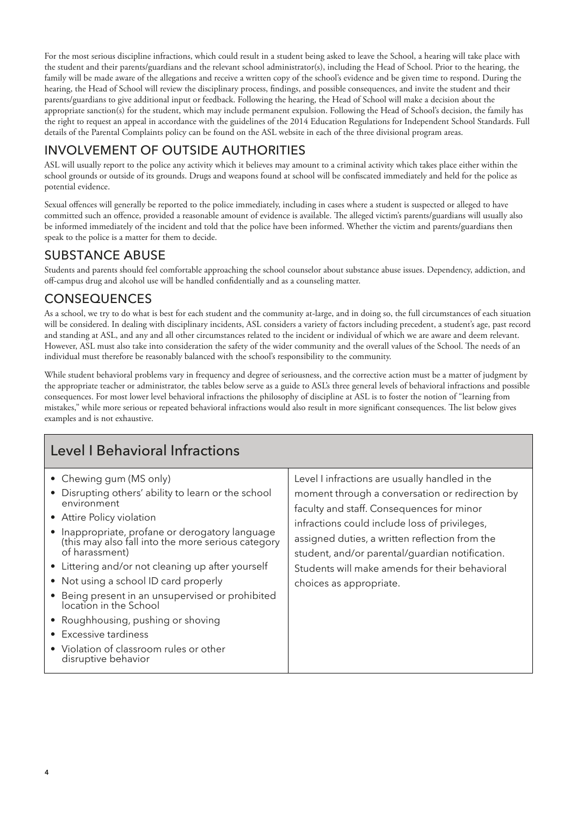For the most serious discipline infractions, which could result in a student being asked to leave the School, a hearing will take place with the student and their parents/guardians and the relevant school administrator(s), including the Head of School. Prior to the hearing, the family will be made aware of the allegations and receive a written copy of the school's evidence and be given time to respond. During the hearing, the Head of School will review the disciplinary process, fndings, and possible consequences, and invite the student and their parents/guardians to give additional input or feedback. Following the hearing, the Head of School will make a decision about the appropriate sanction(s) for the student, which may include permanent expulsion. Following the Head of School's decision, the family has the right to request an appeal in accordance with the guidelines of the 2014 Education Regulations for Independent School Standards. Full details of the Parental Complaints policy can be found on the ASL website in each of the three divisional program areas.

### INVOLVEMENT OF OUTSIDE AUTHORITIES

ASL will usually report to the police any activity which it believes may amount to a criminal activity which takes place either within the school grounds or outside of its grounds. Drugs and weapons found at school will be confscated immediately and held for the police as potential evidence.

Sexual ofences will generally be reported to the police immediately, including in cases where a student is suspected or alleged to have committed such an offence, provided a reasonable amount of evidence is available. The alleged victim's parents/guardians will usually also be informed immediately of the incident and told that the police have been informed. Whether the victim and parents/guardians then speak to the police is a matter for them to decide.

### SUBSTANCE ABUSE

Students and parents should feel comfortable approaching the school counselor about substance abuse issues. Dependency, addiction, and of-campus drug and alcohol use will be handled confdentially and as a counseling matter.

### CONSEQUENCES

As a school, we try to do what is best for each student and the community at-large, and in doing so, the full circumstances of each situation will be considered. In dealing with disciplinary incidents, ASL considers a variety of factors including precedent, a student's age, past record and standing at ASL, and any and all other circumstances related to the incident or individual of which we are aware and deem relevant. However, ASL must also take into consideration the safety of the wider community and the overall values of the School. The needs of an individual must therefore be reasonably balanced with the school's responsibility to the community.

While student behavioral problems vary in frequency and degree of seriousness, and the corrective action must be a matter of judgment by the appropriate teacher or administrator, the tables below serve as a guide to ASL's three general levels of behavioral infractions and possible consequences. For most lower level behavioral infractions the philosophy of discipline at ASL is to foster the notion of "learning from mistakes," while more serious or repeated behavioral infractions would also result in more significant consequences. The list below gives examples and is not exhaustive.

| Level I Behavioral Infractions                                                                                                                                                                                                                                                                                                                                                                                                                                                                                                                                     |                                                                                                                                                                                                                                                                                                                                                                                   |  |  |  |  |  |
|--------------------------------------------------------------------------------------------------------------------------------------------------------------------------------------------------------------------------------------------------------------------------------------------------------------------------------------------------------------------------------------------------------------------------------------------------------------------------------------------------------------------------------------------------------------------|-----------------------------------------------------------------------------------------------------------------------------------------------------------------------------------------------------------------------------------------------------------------------------------------------------------------------------------------------------------------------------------|--|--|--|--|--|
| • Chewing gum (MS only)<br>• Disrupting others' ability to learn or the school<br>environment<br>• Attire Policy violation<br>• Inappropriate, profane or derogatory language<br>(this may also fall into the more serious category<br>of harassment)<br>• Littering and/or not cleaning up after yourself<br>• Not using a school ID card properly<br>• Being present in an unsupervised or prohibited<br>location in the School<br>• Roughhousing, pushing or shoving<br>• Excessive tardiness<br>• Violation of classroom rules or other<br>disruptive behavior | Level I infractions are usually handled in the<br>moment through a conversation or redirection by<br>faculty and staff. Consequences for minor<br>infractions could include loss of privileges,<br>assigned duties, a written reflection from the<br>student, and/or parental/guardian notification.<br>Students will make amends for their behavioral<br>choices as appropriate. |  |  |  |  |  |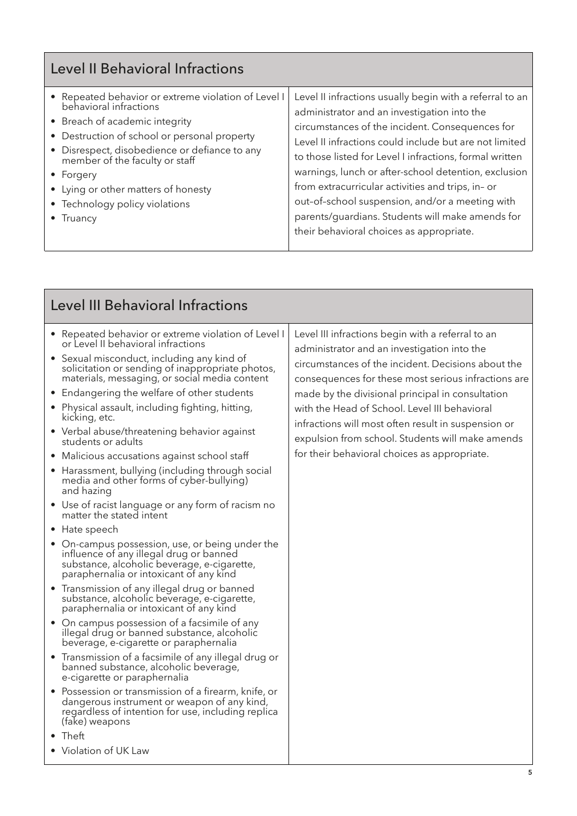| <b>Level II Behavioral Infractions</b>                                                                                                                                                                                                                                                                                                                |                                                                                                                                                                                                                                                                                                                                                                                                                                                                                                                                                 |
|-------------------------------------------------------------------------------------------------------------------------------------------------------------------------------------------------------------------------------------------------------------------------------------------------------------------------------------------------------|-------------------------------------------------------------------------------------------------------------------------------------------------------------------------------------------------------------------------------------------------------------------------------------------------------------------------------------------------------------------------------------------------------------------------------------------------------------------------------------------------------------------------------------------------|
| • Repeated behavior or extreme violation of Level I<br>behavioral infractions<br>• Breach of academic integrity<br>• Destruction of school or personal property<br>• Disrespect, disobedience or defiance to any<br>member of the faculty or staff<br>• Forgery<br>• Lying or other matters of honesty<br>• Technology policy violations<br>• Truancy | Level II infractions usually begin with a referral to an<br>administrator and an investigation into the<br>circumstances of the incident. Consequences for<br>Level II infractions could include but are not limited<br>to those listed for Level I infractions, formal written<br>warnings, lunch or after-school detention, exclusion<br>from extracurricular activities and trips, in- or<br>out-of-school suspension, and/or a meeting with<br>parents/guardians. Students will make amends for<br>their behavioral choices as appropriate. |

| <b>Level III Behavioral Infractions</b>                                                                                                                                                                                                                                                                                                                                                                                                                                                                                                                                                                                                                                                                                                                                                                                                                                                                                                                                                                                                                                                                                                                                                                                                                                                                                                                                                                                                                                                                                                      |                                                                                                                                                                                                                                                                                                                                                                                                                                                                               |  |  |  |  |
|----------------------------------------------------------------------------------------------------------------------------------------------------------------------------------------------------------------------------------------------------------------------------------------------------------------------------------------------------------------------------------------------------------------------------------------------------------------------------------------------------------------------------------------------------------------------------------------------------------------------------------------------------------------------------------------------------------------------------------------------------------------------------------------------------------------------------------------------------------------------------------------------------------------------------------------------------------------------------------------------------------------------------------------------------------------------------------------------------------------------------------------------------------------------------------------------------------------------------------------------------------------------------------------------------------------------------------------------------------------------------------------------------------------------------------------------------------------------------------------------------------------------------------------------|-------------------------------------------------------------------------------------------------------------------------------------------------------------------------------------------------------------------------------------------------------------------------------------------------------------------------------------------------------------------------------------------------------------------------------------------------------------------------------|--|--|--|--|
| • Repeated behavior or extreme violation of Level I<br>or Level II behavioral infractions<br>• Sexual misconduct, including any kind of<br>solicitation or sending of inappropriate photos,<br>materials, messaging, or social media content<br>• Endangering the welfare of other students<br>• Physical assault, including fighting, hitting,<br>kicking, etc.<br>• Verbal abuse/threatening behavior against<br>students or adults<br>• Malicious accusations against school staff<br>• Harassment, bullying (including through social<br>media and other forms of cyber-bullying)<br>and hazing<br>• Use of racist language or any form of racism no<br>matter the stated intent<br>• Hate speech<br>• On-campus possession, use, or being under the<br>influence of any illegal drug or banned<br>substance, alcoholic beverage, e-cigarette,<br>paraphernalia or intoxicant of any kind<br>• Transmission of any illegal drug or banned<br>substance, alcoholic beverage, e-cigarette,<br>paraphernalia or intoxicant of any kind<br>• On campus possession of a facsimile of any<br>illegal drug or banned substance, alcoholic<br>beverage, e-cigarette or paraphernalia<br>• Transmission of a facsimile of any illegal drug or<br>banned substance, alcoholic beverage,<br>e-cigarette or paraphernalia<br>• Possession or transmission of a firearm, knife, or<br>dangerous instrument or weapon of any kind,<br>regardless of intention for use, including replica<br>(fake) weapons<br>$\bullet$ Theft<br>• Violation of UK Law | Level III infractions begin with a referral to an<br>administrator and an investigation into the<br>circumstances of the incident. Decisions about the<br>consequences for these most serious infractions are<br>made by the divisional principal in consultation<br>with the Head of School. Level III behavioral<br>infractions will most often result in suspension or<br>expulsion from school. Students will make amends<br>for their behavioral choices as appropriate. |  |  |  |  |
|                                                                                                                                                                                                                                                                                                                                                                                                                                                                                                                                                                                                                                                                                                                                                                                                                                                                                                                                                                                                                                                                                                                                                                                                                                                                                                                                                                                                                                                                                                                                              |                                                                                                                                                                                                                                                                                                                                                                                                                                                                               |  |  |  |  |

Ė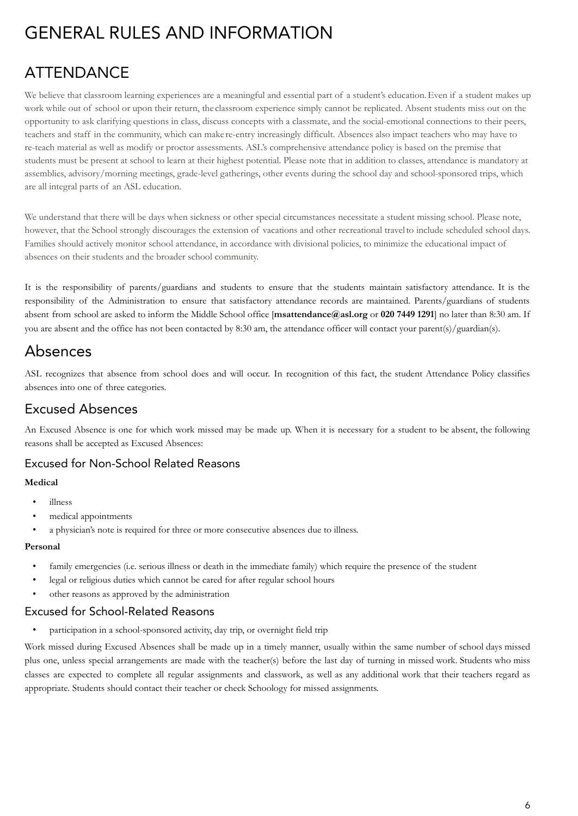# GENERAL RULES AND INFORMATION

# ATTENDANCE

We believe that classroom learning experiences are a meaningful and essential part of a student's education. Even if a student makes up work while out of school or upon their return, theclassroom experience simply cannot be replicated. Absent students miss out on the opportunity to ask clarifying questions in class, discuss concepts with a classmate, and the social-emotional connections to their peers, teachers and staff in the community, which can makere-entry increasingly difficult. Absences also impact teachers who may have to re-teach material as well as modify or proctor assessments. ASL's comprehensive attendance policy is based on the premise that students must be present at school to learn at their highest potential. Please note that in addition to classes, attendance is mandatory at assemblies, advisory/morning meetings, grade-level gatherings, other events during the school day and school-sponsored trips, which are all integral parts of an ASL education.

We understand that there will be days when sickness or other special circumstances necessitate a student missing school. Please note, however, that the School strongly discourages the extension of vacations and other recreational travelto include scheduled school days. Families should actively monitor school attendance, in accordance with divisional policies, to minimize the educational impact of absences on their students and the broader school community.

It is the responsibility of parents/guardians and students to ensure that the students maintain satisfactory attendance. It is the responsibility of the Administration to ensure that satisfactory attendance records are maintained. Parents/guardians of students absent from school are asked to inform the Middle School office [**msattendance@asl.org** or **020 7449 1291**] no later than 8:30 am. If you are absent and the office has not been contacted by 8:30 am, the attendance officer will contact your parent(s)/guardian(s).

### Absences

ASL recognizes that absence from school does and will occur. In recognition of this fact, the student Attendance Policy classifies absences into one of three categories.

### Excused Absences

An Excused Absence is one for which work missed may be made up. When it is necessary for a student to be absent, the following reasons shall be accepted as Excused Absences:

### Excused for Non-School Related Reasons

#### **Medical**

- illness
- medical appointments
- a physician's note is required for three or more consecutive absences due to illness.

#### **Personal**

- family emergencies (i.e. serious illness or death in the immediate family) which require the presence of the student
- legal or religious duties which cannot be cared for after regular school hours
- other reasons as approved by the administration

#### Excused for School-Related Reasons

• participation in a school-sponsored activity, day trip, or overnight field trip

Work missed during Excused Absences shall be made up in a timely manner, usually within the same number of school days missed plus one, unless special arrangements are made with the teacher(s) before the last day of turning in missed work. Students who miss classes are expected to complete all regular assignments and classwork, as well as any additional work that their teachers regard as appropriate. Students should contact their teacher or check Schoology for missed assignments.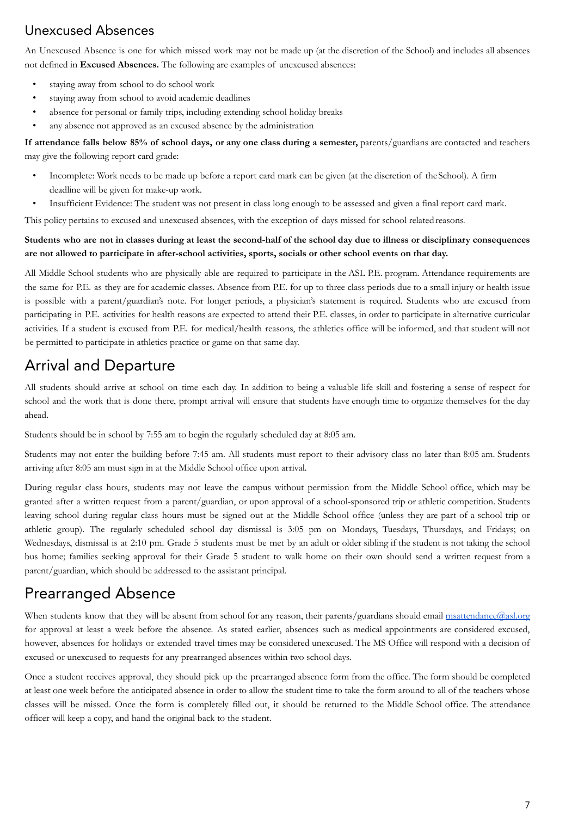### Unexcused Absences

An Unexcused Absence is one for which missed work may not be made up (at the discretion of the School) and includes all absences not defined in **Excused Absences.** The following are examples of unexcused absences:

- staying away from school to do school work
- staying away from school to avoid academic deadlines
- absence for personal or family trips, including extending school holiday breaks
- any absence not approved as an excused absence by the administration

#### **If attendance falls below 85% of school days, or any one class during a semester,** parents/guardians are contacted and teachers may give the following report card grade:

- Incomplete: Work needs to be made up before a report card mark can be given (at the discretion of theSchool). A firm deadline will be given for make-up work.
- Insufficient Evidence: The student was not present in class long enough to be assessed and given a final report card mark.

This policy pertains to excused and unexcused absences, with the exception of days missed for school relatedreasons.

#### **Students who are not in classes during at least the second-half of the school day due to illness or disciplinary consequences are not allowed to participate in after-school activities, sports, socials or other school events on that day.**

All Middle School students who are physically able are required to participate in the ASL P.E. program. Attendance requirements are the same for P.E. as they are for academic classes. Absence from P.E. for up to three class periods due to a small injury or health issue is possible with a parent/guardian's note. For longer periods, a physician's statement is required. Students who are excused from participating in P.E. activities for health reasons are expected to attend their P.E. classes, in order to participate in alternative curricular activities. If a student is excused from P.E. for medical/health reasons, the athletics office will be informed, and that student will not be permitted to participate in athletics practice or game on that same day.

### Arrival and Departure

All students should arrive at school on time each day. In addition to being a valuable life skill and fostering a sense of respect for school and the work that is done there, prompt arrival will ensure that students have enough time to organize themselves for the day ahead.

Students should be in school by 7:55 am to begin the regularly scheduled day at 8:05 am.

Students may not enter the building before 7:45 am. All students must report to their advisory class no later than 8:05 am. Students arriving after 8:05 am must sign in at the Middle School office upon arrival.

During regular class hours, students may not leave the campus without permission from the Middle School office, which may be granted after a written request from a parent/guardian, or upon approval of a school-sponsored trip or athletic competition. Students leaving school during regular class hours must be signed out at the Middle School office (unless they are part of a school trip or athletic group). The regularly scheduled school day dismissal is 3:05 pm on Mondays, Tuesdays, Thursdays, and Fridays; on Wednesdays, dismissal is at 2:10 pm. Grade 5 students must be met by an adult or older sibling if the student is not taking the school bus home; families seeking approval for their Grade 5 student to walk home on their own should send a written request from a parent/guardian, which should be addressed to the assistant principal.

### Prearranged Absence

When students know that they will be absent from school for any reason, their parents/guardians should email [msattendance@asl.org](mailto:msattendance@asl.org) for approval at least a week before the absence. As stated earlier, absences such as medical appointments are considered excused, however, absences for holidays or extended travel times may be considered unexcused. The MS Office will respond with a decision of excused or unexcused to requests for any prearranged absences within two school days.

Once a student receives approval, they should pick up the prearranged absence form from the office. The form should be completed at least one week before the anticipated absence in order to allow the student time to take the form around to all of the teachers whose classes will be missed. Once the form is completely filled out, it should be returned to the Middle School office. The attendance officer will keep a copy, and hand the original back to the student.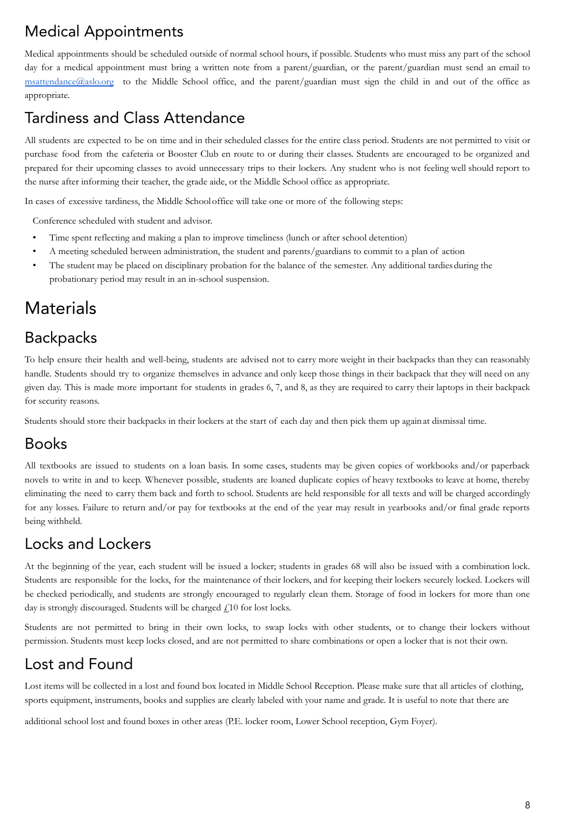# Medical Appointments

Medical appointments should be scheduled outside of normal school hours, if possible. Students who must miss any part of the school day for a medical appointment must bring a written note from a parent/guardian, or the parent/guardian must send an email to [msattendance@aslo.org](mailto:msattendance@aslo.org) to the Middle School office, and the parent/guardian must sign the child in and out of the office as appropriate.

# Tardiness and Class Attendance

All students are expected to be on time and in their scheduled classes for the entire class period. Students are not permitted to visit or purchase food from the cafeteria or Booster Club en route to or during their classes. Students are encouraged to be organized and prepared for their upcoming classes to avoid unnecessary trips to their lockers. Any student who is not feeling well should report to the nurse after informing their teacher, the grade aide, or the Middle School office as appropriate.

In cases of excessive tardiness, the Middle Schooloffice will take one or more of the following steps:

Conference scheduled with student and advisor.

- Time spent reflecting and making a plan to improve timeliness (lunch or after school detention)
- A meeting scheduled between administration, the student and parents/guardians to commit to a plan of action
- The student may be placed on disciplinary probation for the balance of the semester. Any additional tardies during the probationary period may result in an in-school suspension.

# **Materials**

### **Backpacks**

To help ensure their health and well-being, students are advised not to carry more weight in their backpacks than they can reasonably handle. Students should try to organize themselves in advance and only keep those things in their backpack that they will need on any given day. This is made more important for students in grades 6, 7, and 8, as they are required to carry their laptops in their backpack for security reasons.

Students should store their backpacks in their lockers at the start of each day and then pick them up againat dismissal time.

### Books

All textbooks are issued to students on a loan basis. In some cases, students may be given copies of workbooks and/or paperback novels to write in and to keep. Whenever possible, students are loaned duplicate copies of heavy textbooks to leave at home, thereby eliminating the need to carry them back and forth to school. Students are held responsible for all texts and will be charged accordingly for any losses. Failure to return and/or pay for textbooks at the end of the year may result in yearbooks and/or final grade reports being withheld.

### Locks and Lockers

At the beginning of the year, each student will be issued a locker; students in grades 68 will also be issued with a combination lock. Students are responsible for the locks, for the maintenance of their lockers, and for keeping their lockers securely locked. Lockers will be checked periodically, and students are strongly encouraged to regularly clean them. Storage of food in lockers for more than one day is strongly discouraged. Students will be charged  $f<sub>i</sub>10$  for lost locks.

Students are not permitted to bring in their own locks, to swap locks with other students, or to change their lockers without permission. Students must keep locks closed, and are not permitted to share combinations or open a locker that is not their own.

### Lost and Found

Lost items will be collected in a lost and found box located in Middle School Reception. Please make sure that all articles of clothing, sports equipment, instruments, books and supplies are clearly labeled with your name and grade. It is useful to note that there are

additional school lost and found boxes in other areas (P.E. locker room, Lower School reception, Gym Foyer).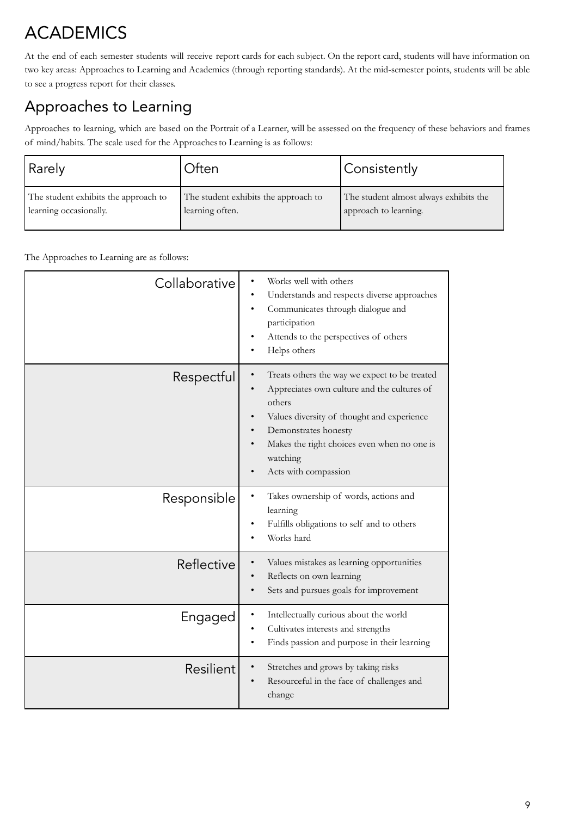# ACADEMICS

At the end of each semester students will receive report cards for each subject. On the report card, students will have information on two key areas: Approaches to Learning and Academics (through reporting standards). At the mid-semester points, students will be able to see a progress report for their classes.

# Approaches to Learning

Approaches to learning, which are based on the Portrait of a Learner, will be assessed on the frequency of these behaviors and frames of mind/habits. The scale used for the Approachesto Learning is as follows:

| Rarely                               | Often                                | Consistently                           |  |
|--------------------------------------|--------------------------------------|----------------------------------------|--|
| The student exhibits the approach to | The student exhibits the approach to | The student almost always exhibits the |  |
| learning occasionally.               | learning often.                      | approach to learning.                  |  |

The Approaches to Learning are as follows:

| Collaborative | Works well with others<br>Understands and respects diverse approaches<br>Communicates through dialogue and<br>participation<br>Attends to the perspectives of others<br>Helps others                                                                            |
|---------------|-----------------------------------------------------------------------------------------------------------------------------------------------------------------------------------------------------------------------------------------------------------------|
| Respectful    | Treats others the way we expect to be treated<br>Appreciates own culture and the cultures of<br>others<br>Values diversity of thought and experience<br>Demonstrates honesty<br>Makes the right choices even when no one is<br>watching<br>Acts with compassion |
| Responsible   | Takes ownership of words, actions and<br>learning<br>Fulfills obligations to self and to others<br>Works hard                                                                                                                                                   |
| Reflective    | Values mistakes as learning opportunities<br>Reflects on own learning<br>Sets and pursues goals for improvement                                                                                                                                                 |
| Engaged       | Intellectually curious about the world<br>Cultivates interests and strengths<br>Finds passion and purpose in their learning                                                                                                                                     |
| Resilient     | Stretches and grows by taking risks<br>Resourceful in the face of challenges and<br>change                                                                                                                                                                      |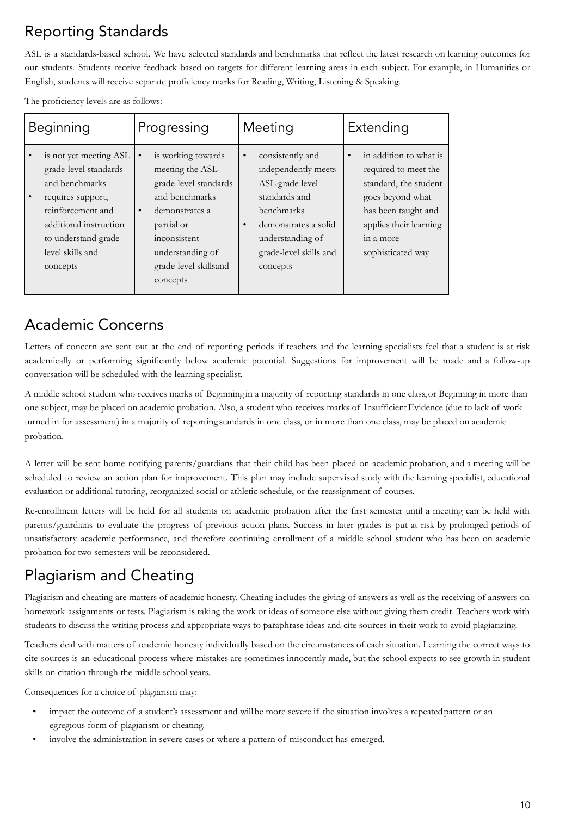# Reporting Standards

ASL is a standards-based school. We have selected standards and benchmarks that reflect the latest research on learning outcomes for our students. Students receive feedback based on targets for different learning areas in each subject. For example, in Humanities or English, students will receive separate proficiency marks for Reading, Writing, Listening & Speaking.

The proficiency levels are as follows:

| Beginning |                                                                                                                                                                                              | Progressing    |                                                                                                                                                                                           | Meeting   |                                                                                                                                                                             | Extending |                                                                                                                                                                                |
|-----------|----------------------------------------------------------------------------------------------------------------------------------------------------------------------------------------------|----------------|-------------------------------------------------------------------------------------------------------------------------------------------------------------------------------------------|-----------|-----------------------------------------------------------------------------------------------------------------------------------------------------------------------------|-----------|--------------------------------------------------------------------------------------------------------------------------------------------------------------------------------|
|           | is not yet meeting ASL<br>grade-level standards<br>and benchmarks<br>requires support,<br>reinforcement and<br>additional instruction<br>to understand grade<br>level skills and<br>concepts | ٠<br>$\bullet$ | is working towards<br>meeting the ASL<br>grade-level standards<br>and benchmarks<br>demonstrates a<br>partial or<br>inconsistent<br>understanding of<br>grade-level skillsand<br>concepts | $\bullet$ | consistently and<br>independently meets<br>ASL grade level<br>standards and<br>benchmarks<br>demonstrates a solid<br>understanding of<br>grade-level skills and<br>concepts |           | in addition to what is<br>required to meet the<br>standard, the student<br>goes beyond what<br>has been taught and<br>applies their learning<br>in a more<br>sophisticated way |

### Academic Concerns

Letters of concern are sent out at the end of reporting periods if teachers and the learning specialists feel that a student is at risk academically or performing significantly below academic potential. Suggestions for improvement will be made and a follow-up conversation will be scheduled with the learning specialist.

A middle school student who receives marks of Beginningin a majority of reporting standards in one class,or Beginning in more than one subject, may be placed on academic probation. Also, a student who receives marks of InsufficientEvidence (due to lack of work turned in for assessment) in a majority of reportingstandards in one class, or in more than one class, may be placed on academic probation.

A letter will be sent home notifying parents/guardians that their child has been placed on academic probation, and a meeting will be scheduled to review an action plan for improvement. This plan may include supervised study with the learning specialist, educational evaluation or additional tutoring, reorganized social or athletic schedule, or the reassignment of courses.

Re-enrollment letters will be held for all students on academic probation after the first semester until a meeting can be held with parents/guardians to evaluate the progress of previous action plans. Success in later grades is put at risk by prolonged periods of unsatisfactory academic performance, and therefore continuing enrollment of a middle school student who has been on academic probation for two semesters will be reconsidered.

# Plagiarism and Cheating

Plagiarism and cheating are matters of academic honesty. Cheating includes the giving of answers as well as the receiving of answers on homework assignments or tests. Plagiarism is taking the work or ideas of someone else without giving them credit. Teachers work with students to discuss the writing process and appropriate ways to paraphrase ideas and cite sources in their work to avoid plagiarizing.

Teachers deal with matters of academic honesty individually based on the circumstances of each situation. Learning the correct ways to cite sources is an educational process where mistakes are sometimes innocently made, but the school expects to see growth in student skills on citation through the middle school years.

Consequences for a choice of plagiarism may:

- impact the outcome of a student's assessment and will be more severe if the situation involves a repeated pattern or an egregious form of plagiarism or cheating.
- involve the administration in severe cases or where a pattern of misconduct has emerged.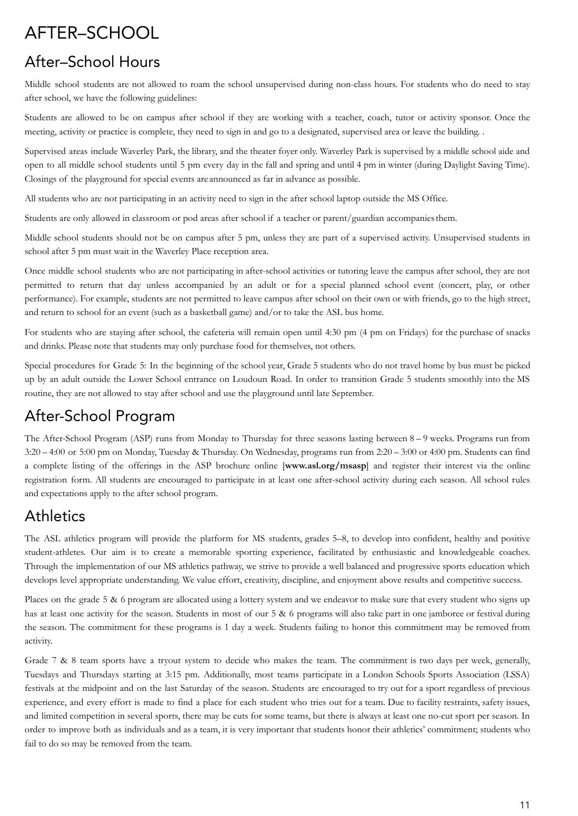# AFTER–SCHOOL

### After–School Hours

Middle school students are not allowed to roam the school unsupervised during non-class hours. For students who do need to stay after school, we have the following guidelines:

Students are allowed to be on campus after school if they are working with a teacher, coach, tutor or activity sponsor. Once the meeting, activity or practice is complete, they need to sign in and go to a designated, supervised area or leave the building. .

Supervised areas include Waverley Park, the library, and the theater foyer only. Waverley Park is supervised by a middle school aide and open to all middle school students until 5 pm every day in the fall and spring and until 4 pm in winter (during Daylight Saving Time). Closings of the playground for special events areannounced as far in advance as possible.

All students who are not participating in an activity need to sign in the after school laptop outside the MS Office.

Students are only allowed in classroom or pod areas after school if a teacher or parent/guardian accompanies them.

Middle school students should not be on campus after 5 pm, unless they are part of a supervised activity. Unsupervised students in school after 5 pm must wait in the Waverley Place reception area.

Once middle school students who are not participating in after-school activities or tutoring leave the campus after school, they are not permitted to return that day unless accompanied by an adult or for a special planned school event (concert, play, or other performance). For example, students are not permitted to leave campus after school on their own or with friends, go to the high street, and return to school for an event (such as a basketball game) and/or to take the ASL bus home.

For students who are staying after school, the cafeteria will remain open until 4:30 pm (4 pm on Fridays) for the purchase of snacks and drinks. Please note that students may only purchase food for themselves, not others.

Special procedures for Grade 5: In the beginning of the school year, Grade 5 students who do not travel home by bus must be picked up by an adult outside the Lower School entrance on Loudoun Road. In order to transition Grade 5 students smoothly into the MS routine, they are not allowed to stay after school and use the playground until late September.

### After-School Program

The After-School Program (ASP) runs from Monday to Thursday for three seasons lasting between 8 – 9 weeks. Programs run from 3:20 – 4:00 or 5:00 pm on Monday, Tuesday & Thursday. On Wednesday, programs run from 2:20 – 3:00 or 4:00 pm. Students can find a complete listing of the offerings in the ASP brochure online [**www.asl.org/msasp**] and register their interest via the online registration form. All students are encouraged to participate in at least one after-school activity during each season. All school rules and expectations apply to the after school program.

### **Athletics**

The ASL athletics program will provide the platform for MS students, grades 5–8, to develop into confident, healthy and positive student-athletes. Our aim is to create a memorable sporting experience, facilitated by enthusiastic and knowledgeable coaches. Through the implementation of our MS athletics pathway, we strive to provide a well balanced and progressive sports education which develops level appropriate understanding. We value effort, creativity, discipline, and enjoyment above results and competitive success.

Places on the grade 5 & 6 program are allocated using a lottery system and we endeavor to make sure that every student who signs up has at least one activity for the season. Students in most of our 5 & 6 programs will also take part in one jamboree or festival during the season. The commitment for these programs is 1 day a week. Students failing to honor this commitment may be removed from activity.

Grade  $7 \& 8$  team sports have a tryout system to decide who makes the team. The commitment is two days per week, generally, Tuesdays and Thursdays starting at 3:15 pm. Additionally, most teams participate in a London Schools Sports Association (LSSA) festivals at the midpoint and on the last Saturday of the season. Students are encouraged to try out for a sport regardless of previous experience, and every effort is made to find a place for each student who tries out for a team. Due to facility restraints, safety issues, and limited competition in several sports, there may be cuts for some teams, but there is always at least one no-cut sport per season. In order to improve both as individuals and as a team, it is very important that students honor their athletics' commitment; students who fail to do so may be removed from the team.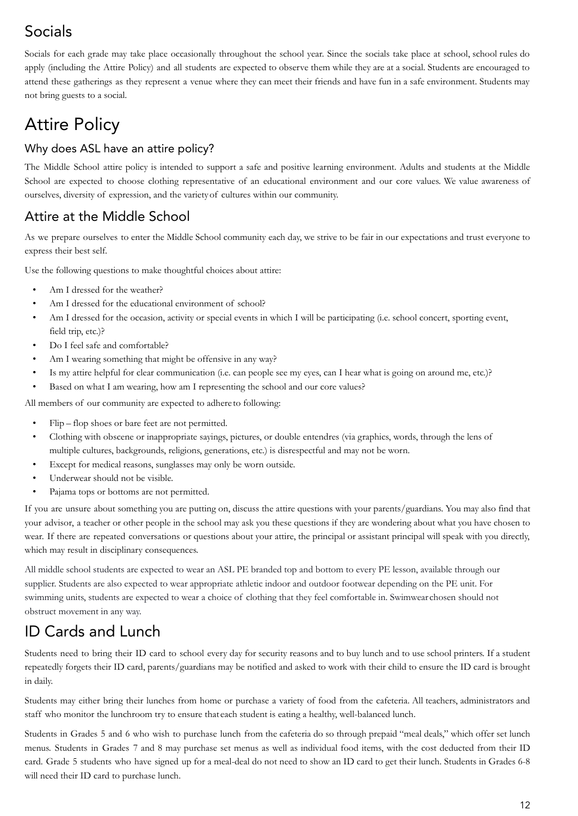# Socials

Socials for each grade may take place occasionally throughout the school year. Since the socials take place at school, school rules do apply (including the Attire Policy) and all students are expected to observe them while they are at a social. Students are encouraged to attend these gatherings as they represent a venue where they can meet their friends and have fun in a safe environment. Students may not bring guests to a social.

# Attire Policy

### Why does ASL have an attire policy?

The Middle School attire policy is intended to support a safe and positive learning environment. Adults and students at the Middle School are expected to choose clothing representative of an educational environment and our core values. We value awareness of ourselves, diversity of expression, and the varietyof cultures within our community.

### Attire at the Middle School

As we prepare ourselves to enter the Middle School community each day, we strive to be fair in our expectations and trust everyone to express their best self.

Use the following questions to make thoughtful choices about attire:

- Am I dressed for the weather?
- Am I dressed for the educational environment of school?
- Am I dressed for the occasion, activity or special events in which I will be participating (i.e. school concert, sporting event, field trip, etc.)?
- Do I feel safe and comfortable?
- Am I wearing something that might be offensive in any way?
- Is my attire helpful for clear communication (i.e. can people see my eyes, can I hear what is going on around me, etc.)?
- Based on what I am wearing, how am I representing the school and our core values?

All members of our community are expected to adhere to following:

- Flip flop shoes or bare feet are not permitted.
- Clothing with obscene or inappropriate sayings, pictures, or double entendres (via graphics, words, through the lens of multiple cultures, backgrounds, religions, generations, etc.) is disrespectful and may not be worn.
- Except for medical reasons, sunglasses may only be worn outside.
- Underwear should not be visible.
- Pajama tops or bottoms are not permitted.

If you are unsure about something you are putting on, discuss the attire questions with your parents/guardians. You may also find that your advisor, a teacher or other people in the school may ask you these questions if they are wondering about what you have chosen to wear. If there are repeated conversations or questions about your attire, the principal or assistant principal will speak with you directly, which may result in disciplinary consequences.

All middle school students are expected to wear an ASL PE branded top and bottom to every PE lesson, available through our supplier. Students are also expected to wear appropriate athletic indoor and outdoor footwear depending on the PE unit. For swimming units, students are expected to wear a choice of clothing that they feel comfortable in. Swimwearchosen should not obstruct movement in any way.

### ID Cards and Lunch

Students need to bring their ID card to school every day for security reasons and to buy lunch and to use school printers. If a student repeatedly forgets their ID card, parents/guardians may be notified and asked to work with their child to ensure the ID card is brought in daily.

Students may either bring their lunches from home or purchase a variety of food from the cafeteria. All teachers, administrators and staff who monitor the lunchroom try to ensure thateach student is eating a healthy, well-balanced lunch.

Students in Grades 5 and 6 who wish to purchase lunch from the cafeteria do so through prepaid "meal deals," which offer set lunch menus. Students in Grades 7 and 8 may purchase set menus as well as individual food items, with the cost deducted from their ID card. Grade 5 students who have signed up for a meal-deal do not need to show an ID card to get their lunch. Students in Grades 6-8 will need their ID card to purchase lunch.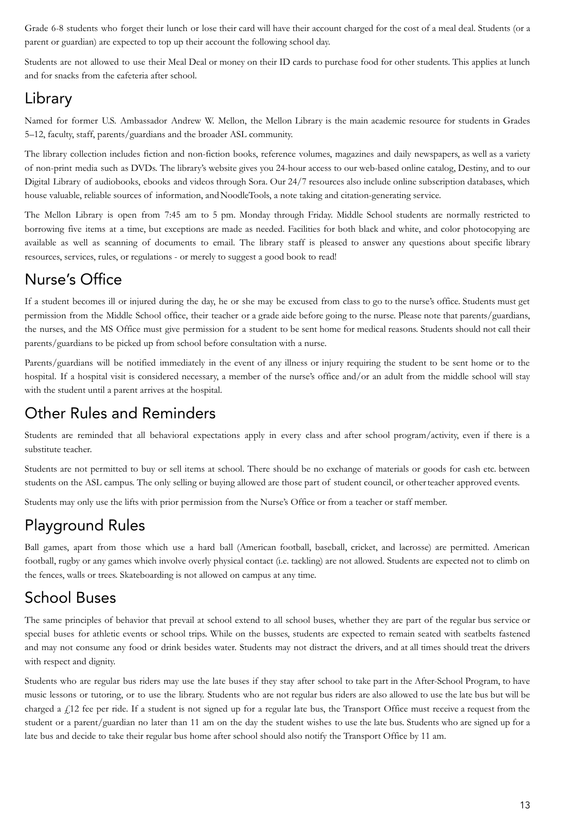Grade 6-8 students who forget their lunch or lose their card will have their account charged for the cost of a meal deal. Students (or a parent or guardian) are expected to top up their account the following school day.

Students are not allowed to use their Meal Deal or money on their ID cards to purchase food for other students. This applies at lunch and for snacks from the cafeteria after school.

### Library

Named for former U.S. Ambassador Andrew W. Mellon, the Mellon Library is the main academic resource for students in Grades 5–12, faculty, staff, parents/guardians and the broader ASL community.

The library collection includes fiction and non-fiction books, reference volumes, magazines and daily newspapers, as well as a variety of non-print media such as DVDs. The library's website gives you 24-hour access to our web-based online catalog, Destiny, and to our Digital Library of audiobooks, ebooks and videos through Sora. Our 24/7 resources also include online subscription databases, which house valuable, reliable sources of information, andNoodleTools, a note taking and citation-generating service.

The Mellon Library is open from 7:45 am to 5 pm. Monday through Friday. Middle School students are normally restricted to borrowing five items at a time, but exceptions are made as needed. Facilities for both black and white, and color photocopying are available as well as scanning of documents to email. The library staff is pleased to answer any questions about specific library resources, services, rules, or regulations - or merely to suggest a good book to read!

### Nurse's Office

If a student becomes ill or injured during the day, he or she may be excused from class to go to the nurse's office. Students must get permission from the Middle School office, their teacher or a grade aide before going to the nurse. Please note that parents/guardians, the nurses, and the MS Office must give permission for a student to be sent home for medical reasons. Students should not call their parents/guardians to be picked up from school before consultation with a nurse.

Parents/guardians will be notified immediately in the event of any illness or injury requiring the student to be sent home or to the hospital. If a hospital visit is considered necessary, a member of the nurse's office and/or an adult from the middle school will stay with the student until a parent arrives at the hospital.

### Other Rules and Reminders

Students are reminded that all behavioral expectations apply in every class and after school program/activity, even if there is a substitute teacher.

Students are not permitted to buy or sell items at school. There should be no exchange of materials or goods for cash etc. between students on the ASL campus. The only selling or buying allowed are those part of student council, or otherteacher approved events.

Students may only use the lifts with prior permission from the Nurse's Office or from a teacher or staff member.

### Playground Rules

Ball games, apart from those which use a hard ball (American football, baseball, cricket, and lacrosse) are permitted. American football, rugby or any games which involve overly physical contact (i.e. tackling) are not allowed. Students are expected not to climb on the fences, walls or trees. Skateboarding is not allowed on campus at any time.

### School Buses

The same principles of behavior that prevail at school extend to all school buses, whether they are part of the regular bus service or special buses for athletic events or school trips. While on the busses, students are expected to remain seated with seatbelts fastened and may not consume any food or drink besides water. Students may not distract the drivers, and at all times should treat the drivers with respect and dignity.

Students who are regular bus riders may use the late buses if they stay after school to take part in the After-School Program, to have music lessons or tutoring, or to use the library. Students who are not regular bus riders are also allowed to use the late bus but will be charged a  $\ell$ 12 fee per ride. If a student is not signed up for a regular late bus, the Transport Office must receive a request from the student or a parent/guardian no later than 11 am on the day the student wishes to use the late bus. Students who are signed up for a late bus and decide to take their regular bus home after school should also notify the Transport Office by 11 am.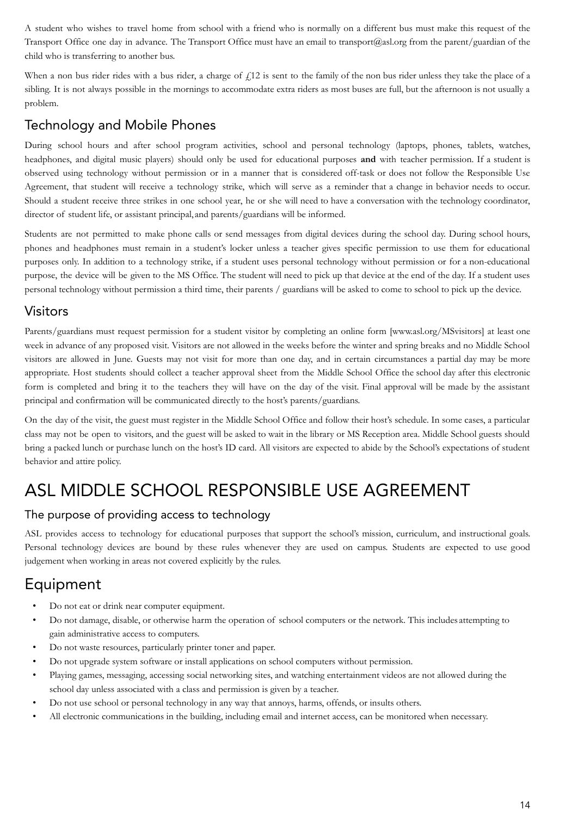A student who wishes to travel home from school with a friend who is normally on a different bus must make this request of the Transport Office one day in advance. The Transport Office must have an email to transport@asl.org from the parent/guardian of the child who is transferring to another bus.

When a non bus rider rides with a bus rider, a charge of  $f<sub>12</sub>$  is sent to the family of the non bus rider unless they take the place of a sibling. It is not always possible in the mornings to accommodate extra riders as most buses are full, but the afternoon is not usually a problem.

### Technology and Mobile Phones

During school hours and after school program activities, school and personal technology (laptops, phones, tablets, watches, headphones, and digital music players) should only be used for educational purposes **and** with teacher permission. If a student is observed using technology without permission or in a manner that is considered off-task or does not follow the Responsible Use Agreement, that student will receive a technology strike, which will serve as a reminder that a change in behavior needs to occur. Should a student receive three strikes in one school year, he or she will need to have a conversation with the technology coordinator, director of student life, or assistant principal,and parents/guardians will be informed.

Students are not permitted to make phone calls or send messages from digital devices during the school day. During school hours, phones and headphones must remain in a student's locker unless a teacher gives specific permission to use them for educational purposes only. In addition to a technology strike, if a student uses personal technology without permission or for a non-educational purpose, the device will be given to the MS Office. The student will need to pick up that device at the end of the day. If a student uses personal technology without permission a third time, their parents / guardians will be asked to come to school to pick up the device.

### Visitors

Parents/guardians must request permission for a student visitor by completing an online form [www.asl.org/MSvisitors] at least one week in advance of any proposed visit. Visitors are not allowed in the weeks before the winter and spring breaks and no Middle School visitors are allowed in June. Guests may not visit for more than one day, and in certain circumstances a partial day may be more appropriate. Host students should collect a teacher approval sheet from the Middle School Office the school day after this electronic form is completed and bring it to the teachers they will have on the day of the visit. Final approval will be made by the assistant principal and confirmation will be communicated directly to the host's parents/guardians.

On the day of the visit, the guest must register in the Middle School Office and follow their host's schedule. In some cases, a particular class may not be open to visitors, and the guest will be asked to wait in the library or MS Reception area. Middle School guests should bring a packed lunch or purchase lunch on the host's ID card. All visitors are expected to abide by the School's expectations of student behavior and attire policy.

# ASL MIDDLE SCHOOL RESPONSIBLE USE AGREEMENT

#### The purpose of providing access to technology

ASL provides access to technology for educational purposes that support the school's mission, curriculum, and instructional goals. Personal technology devices are bound by these rules whenever they are used on campus. Students are expected to use good judgement when working in areas not covered explicitly by the rules.

### Equipment

- Do not eat or drink near computer equipment.
- Do not damage, disable, or otherwise harm the operation of school computers or the network. This includes attempting to gain administrative access to computers.
- Do not waste resources, particularly printer toner and paper.
- Do not upgrade system software or install applications on school computers without permission.
- Playing games, messaging, accessing social networking sites, and watching entertainment videos are not allowed during the school day unless associated with a class and permission is given by a teacher.
- Do not use school or personal technology in any way that annoys, harms, offends, or insults others.
- All electronic communications in the building, including email and internet access, can be monitored when necessary.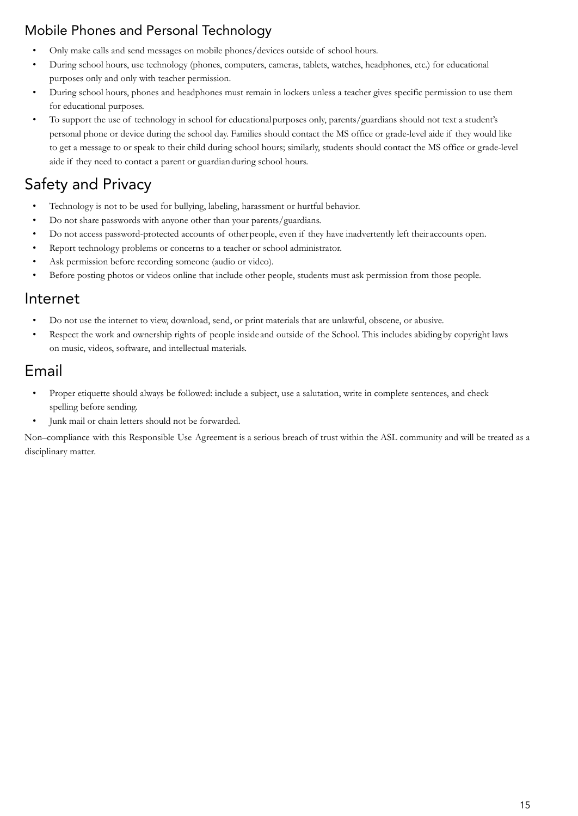### Mobile Phones and Personal Technology

- Only make calls and send messages on mobile phones/devices outside of school hours.
- During school hours, use technology (phones, computers, cameras, tablets, watches, headphones, etc.) for educational purposes only and only with teacher permission.
- During school hours, phones and headphones must remain in lockers unless a teacher gives specific permission to use them for educational purposes.
- To support the use of technology in school for educationalpurposes only, parents/guardians should not text a student's personal phone or device during the school day. Families should contact the MS office or grade-level aide if they would like to get a message to or speak to their child during school hours; similarly, students should contact the MS office or grade-level aide if they need to contact a parent or guardianduring school hours.

# Safety and Privacy

- Technology is not to be used for bullying, labeling, harassment or hurtful behavior.
- Do not share passwords with anyone other than your parents/guardians.
- Do not access password-protected accounts of otherpeople, even if they have inadvertently left theiraccounts open.
- Report technology problems or concerns to a teacher or school administrator.
- Ask permission before recording someone (audio or video).
- Before posting photos or videos online that include other people, students must ask permission from those people.

### Internet

- Do not use the internet to view, download, send, or print materials that are unlawful, obscene, or abusive.
- Respect the work and ownership rights of people insideand outside of the School. This includes abidingby copyright laws on music, videos, software, and intellectual materials.

### Email

- Proper etiquette should always be followed: include a subject, use a salutation, write in complete sentences, and check spelling before sending.
- Junk mail or chain letters should not be forwarded.

Non–compliance with this Responsible Use Agreement is a serious breach of trust within the ASL community and will be treated as a disciplinary matter.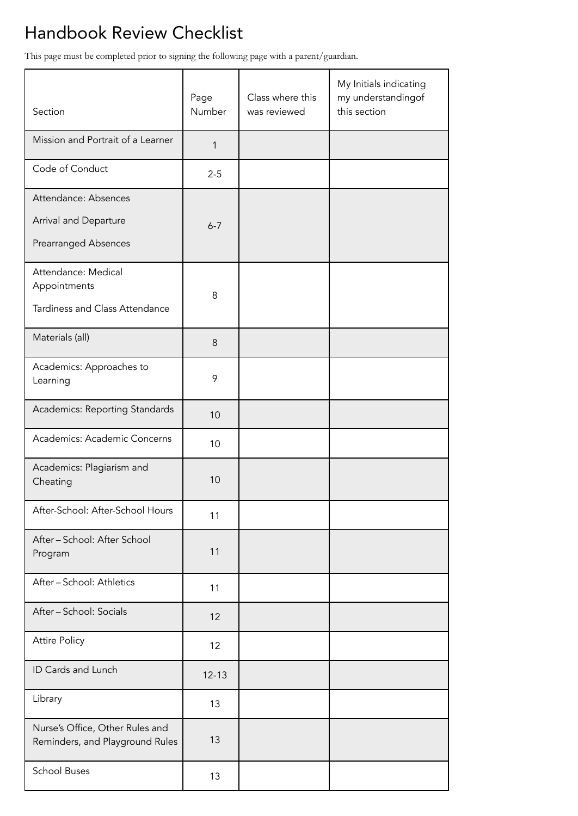# Handbook Review Checklist

This page must be completed prior to signing the following page with a parent/guardian.

| Section                                                                      | Page<br>Number | Class where this<br>was reviewed | My Initials indicating<br>my understandingof<br>this section |
|------------------------------------------------------------------------------|----------------|----------------------------------|--------------------------------------------------------------|
| Mission and Portrait of a Learner                                            | 1              |                                  |                                                              |
| Code of Conduct                                                              | $2 - 5$        |                                  |                                                              |
| Attendance: Absences<br>Arrival and Departure<br><b>Prearranged Absences</b> | $6 - 7$        |                                  |                                                              |
| Attendance: Medical<br>Appointments<br>Tardiness and Class Attendance        | 8              |                                  |                                                              |
| Materials (all)                                                              | 8              |                                  |                                                              |
| Academics: Approaches to<br>Learning                                         | 9              |                                  |                                                              |
| Academics: Reporting Standards                                               | 10             |                                  |                                                              |
| Academics: Academic Concerns                                                 | 10             |                                  |                                                              |
| Academics: Plagiarism and<br>Cheating                                        | 10             |                                  |                                                              |
| After-School: After-School Hours                                             | 11             |                                  |                                                              |
| After - School: After School<br>Program                                      | 11             |                                  |                                                              |
| After - School: Athletics                                                    | 11             |                                  |                                                              |
| After - School: Socials                                                      | 12             |                                  |                                                              |
| <b>Attire Policy</b>                                                         | 12             |                                  |                                                              |
| ID Cards and Lunch                                                           | $12 - 13$      |                                  |                                                              |
| Library                                                                      | 13             |                                  |                                                              |
| Nurse's Office, Other Rules and<br>Reminders, and Playground Rules           | 13             |                                  |                                                              |
| <b>School Buses</b>                                                          | 13             |                                  |                                                              |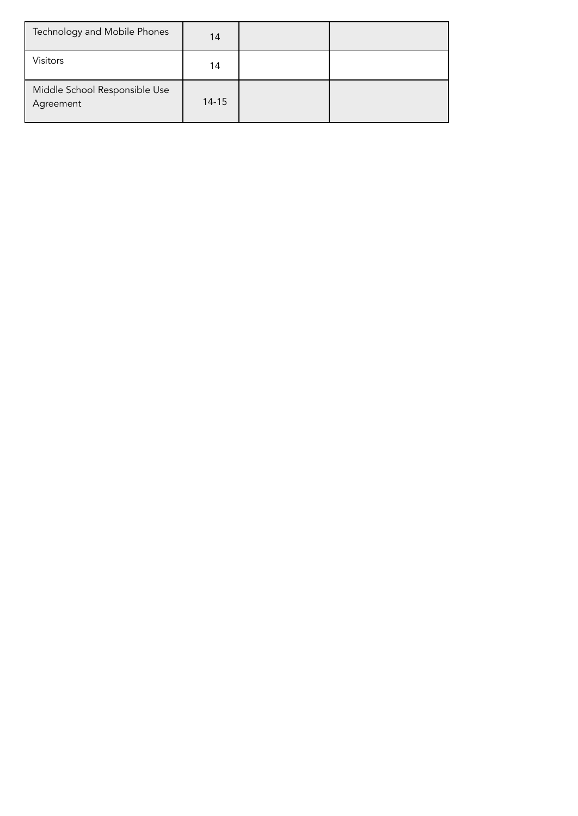| Technology and Mobile Phones               | 14    |  |
|--------------------------------------------|-------|--|
| <b>Visitors</b>                            | 14    |  |
| Middle School Responsible Use<br>Agreement | 14-15 |  |